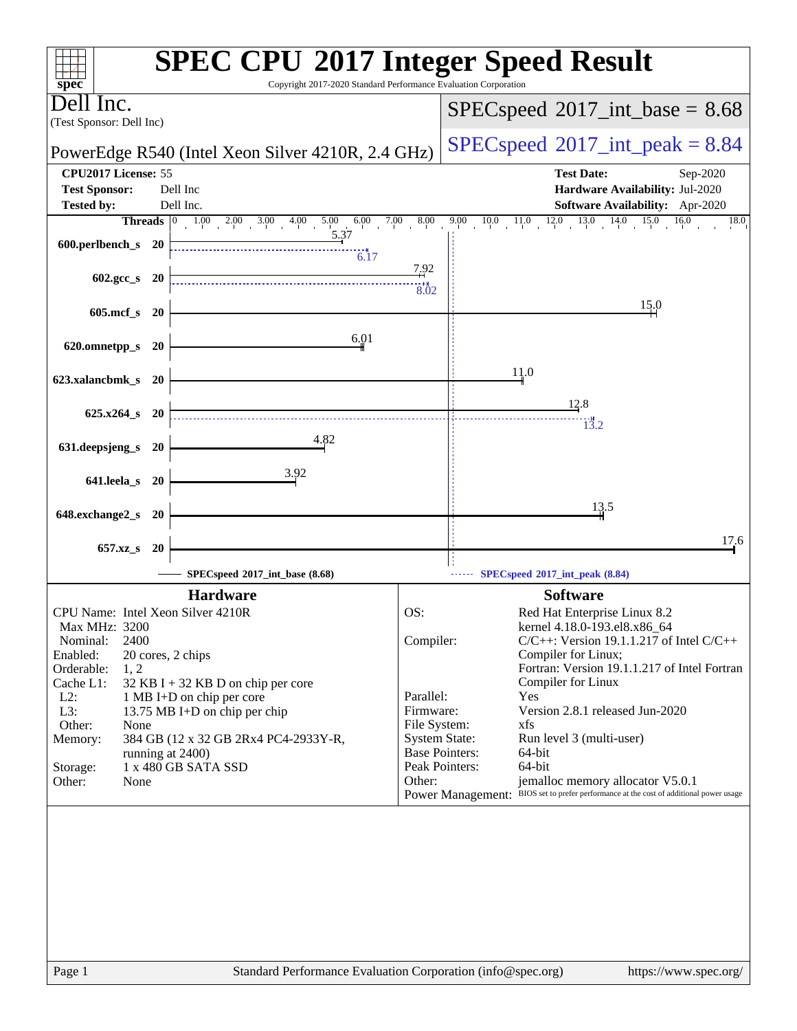| $spec^*$                                                                | <b>SPEC CPU®2017 Integer Speed Result</b><br>Copyright 2017-2020 Standard Performance Evaluation Corporation                         |
|-------------------------------------------------------------------------|--------------------------------------------------------------------------------------------------------------------------------------|
| Jell Inc.<br>(Test Sponsor: Dell Inc)                                   | $SPEC speed^{\circ}2017\_int\_base = 8.68$                                                                                           |
| PowerEdge R540 (Intel Xeon Silver 4210R, 2.4 GHz)                       | $SPEC speed^{\circ}2017\_int\_peak = 8.84$                                                                                           |
| CPU2017 License: 55                                                     | <b>Test Date:</b><br>Sep-2020                                                                                                        |
| <b>Test Sponsor:</b><br>Dell Inc<br>Dell Inc.<br><b>Tested by:</b>      | Hardware Availability: Jul-2020<br>Software Availability: Apr-2020                                                                   |
|                                                                         | $9.00$ $10.0$ $11.0$ $12.0$ $13.0$ $14.0$ $15.0$<br>16.0<br>18.0                                                                     |
| 5.37<br>600.perlbench_s 20<br>6.17                                      |                                                                                                                                      |
| $602.\text{gcc s}$ 20                                                   | 7.92<br>3.02                                                                                                                         |
| 605.mcf_s 20                                                            | 15.0                                                                                                                                 |
| 6.01<br>620.omnetpp_s<br><b>20</b>                                      |                                                                                                                                      |
| 623.xalancbmk_s 20                                                      | 11.0                                                                                                                                 |
|                                                                         | 12.8                                                                                                                                 |
| $625.x264_s$ 20                                                         | 13.2                                                                                                                                 |
| 4.82<br>631.deepsjeng_s 20                                              |                                                                                                                                      |
| 3.92<br>641.leela_s 20                                                  |                                                                                                                                      |
| 648.exchange2_s<br>- 20                                                 | 13.5                                                                                                                                 |
| 657.xz_s<br>-20                                                         | 17.6                                                                                                                                 |
| SPECspeed®2017_int_base (8.68)                                          | SPECspeed®2017_int_peak (8.84)                                                                                                       |
| <b>Hardware</b>                                                         | <b>Software</b>                                                                                                                      |
| CPU Name: Intel Xeon Silver 4210R                                       | OS:<br>Red Hat Enterprise Linux 8.2                                                                                                  |
| Max MHz: 3200<br>2400<br>Nominal:                                       | kernel 4.18.0-193.el8.x86_64<br>$C/C++$ : Version 19.1.1.217 of Intel $C/C++$<br>Compiler:                                           |
| Enabled:<br>20 cores, 2 chips                                           | Compiler for Linux;                                                                                                                  |
| 1, 2<br>Orderable:<br>Cache L1:<br>$32$ KB I + 32 KB D on chip per core | Fortran: Version 19.1.1.217 of Intel Fortran<br>Compiler for Linux                                                                   |
| $L2$ :<br>1 MB I+D on chip per core                                     | Parallel:<br>Yes                                                                                                                     |
| L3:<br>13.75 MB I+D on chip per chip                                    | Version 2.8.1 released Jun-2020<br>Firmware:                                                                                         |
| Other:<br>None                                                          | File System:<br>xfs<br>Run level 3 (multi-user)                                                                                      |
| 384 GB (12 x 32 GB 2Rx4 PC4-2933Y-R,<br>Memory:<br>running at 2400)     | <b>System State:</b><br><b>Base Pointers:</b><br>64-bit                                                                              |
| 1 x 480 GB SATA SSD<br>Storage:                                         | Peak Pointers:<br>64-bit                                                                                                             |
| Other:<br>None                                                          | jemalloc memory allocator V5.0.1<br>Other:<br>Power Management: BIOS set to prefer performance at the cost of additional power usage |
|                                                                         |                                                                                                                                      |
|                                                                         |                                                                                                                                      |
|                                                                         |                                                                                                                                      |
|                                                                         |                                                                                                                                      |
|                                                                         |                                                                                                                                      |
|                                                                         |                                                                                                                                      |
|                                                                         |                                                                                                                                      |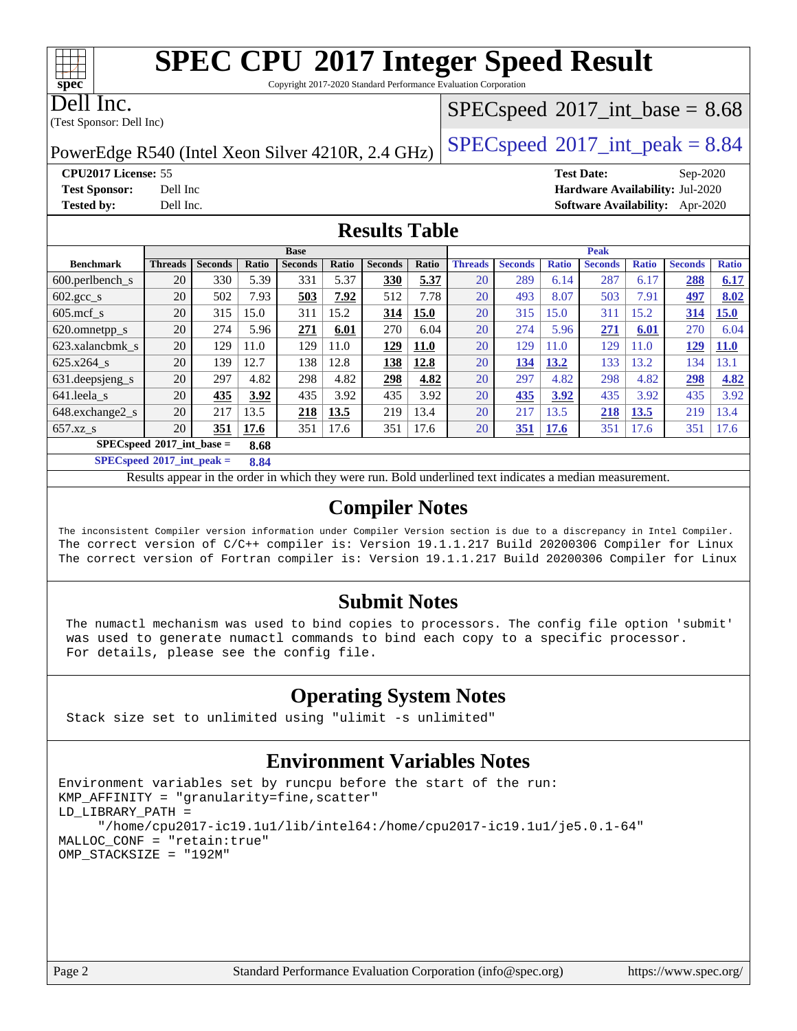Copyright 2017-2020 Standard Performance Evaluation Corporation

Dell Inc.

**[spec](http://www.spec.org/)**

(Test Sponsor: Dell Inc)

#### $SPECspeed^{\circledcirc}2017\_int\_base = 8.68$  $SPECspeed^{\circledcirc}2017\_int\_base = 8.68$

PowerEdge R540 (Intel Xeon Silver 4210R, 2.4 GHz)  $\left|$  [SPECspeed](http://www.spec.org/auto/cpu2017/Docs/result-fields.html#SPECspeed2017intpeak)®[2017\\_int\\_peak = 8](http://www.spec.org/auto/cpu2017/Docs/result-fields.html#SPECspeed2017intpeak).84

**[Tested by:](http://www.spec.org/auto/cpu2017/Docs/result-fields.html#Testedby)** Dell Inc. **[Software Availability:](http://www.spec.org/auto/cpu2017/Docs/result-fields.html#SoftwareAvailability)** Apr-2020

**[CPU2017 License:](http://www.spec.org/auto/cpu2017/Docs/result-fields.html#CPU2017License)** 55 **[Test Date:](http://www.spec.org/auto/cpu2017/Docs/result-fields.html#TestDate)** Sep-2020 **[Test Sponsor:](http://www.spec.org/auto/cpu2017/Docs/result-fields.html#TestSponsor)** Dell Inc **[Hardware Availability:](http://www.spec.org/auto/cpu2017/Docs/result-fields.html#HardwareAvailability)** Jul-2020

#### **[Results Table](http://www.spec.org/auto/cpu2017/Docs/result-fields.html#ResultsTable)**

|                               |                |                |       | <b>Base</b>    |       |                |             |                |                |              | <b>Peak</b>    |              |                |              |
|-------------------------------|----------------|----------------|-------|----------------|-------|----------------|-------------|----------------|----------------|--------------|----------------|--------------|----------------|--------------|
| <b>Benchmark</b>              | <b>Threads</b> | <b>Seconds</b> | Ratio | <b>Seconds</b> | Ratio | <b>Seconds</b> | Ratio       | <b>Threads</b> | <b>Seconds</b> | <b>Ratio</b> | <b>Seconds</b> | <b>Ratio</b> | <b>Seconds</b> | <b>Ratio</b> |
| $600.$ perlbench $\mathsf{S}$ | 20             | 330            | 5.39  | 331            | 5.37  | 330            | 5.37        | 20             | 289            | 6.14         | 287            | 6.17         | 288            | 6.17         |
| $602.\text{sec}\_\text{s}$    | 20             | 502            | 7.93  | 503            | 7.92  | 512            | 7.78        | 20             | 493            | 8.07         | 503            | 7.91         | 497            | 8.02         |
| $605 \text{.mcf}$ s           | 20             | 315            | 15.0  | 311            | 15.2  | 314            | 15.0        | 20             | 315            | 15.0         | 311            | 15.2         | 314            | 15.0         |
| 620.omnetpp_s                 | 20             | 274            | 5.96  | 271            | 6.01  | 270            | 6.04        | 20             | 274            | 5.96         | 271            | 6.01         | 270            | 6.04         |
| 623.xalancbmk s               | 20             | 129            | 11.0  | 129            | 11.0  | 129            | <b>11.0</b> | 20             | 129            | 11.0         | 129            | 1.0          | 129            | <b>11.0</b>  |
| 625.x264 s                    | 20             | 139            | 12.7  | 138            | 12.8  | 138            | 12.8        | 20             | 134            | 13.2         | 133            | 13.2         | 134            | 13.1         |
| 631.deepsjeng_s               | 20             | 297            | 4.82  | 298            | 4.82  | 298            | 4.82        | 20             | 297            | 4.82         | 298            | 4.82         | 298            | 4.82         |
| 641.leela s                   | 20             | 435            | 3.92  | 435            | 3.92  | 435            | 3.92        | 20             | 435            | 3.92         | 435            | 3.92         | 435            | 3.92         |
| 648.exchange2_s               | 20             | 217            | 13.5  | 218            | 13.5  | 219            | 13.4        | 20             | 217            | 13.5         | 218            | 13.5         | 219            | 13.4         |
| $657.xz$ s                    | 20             | 351            | 17.6  | 351            | 17.6  | 351            | 17.6        | 20             | <u>351</u>     | 17.6         | 351            | 17.6         | 351            | 17.6         |
| $SPECspeed*2017$ int base =   |                |                | 8.68  |                |       |                |             |                |                |              |                |              |                |              |

**[SPECspeed](http://www.spec.org/auto/cpu2017/Docs/result-fields.html#SPECspeed2017intpeak)[2017\\_int\\_peak =](http://www.spec.org/auto/cpu2017/Docs/result-fields.html#SPECspeed2017intpeak) 8.84**

Results appear in the [order in which they were run.](http://www.spec.org/auto/cpu2017/Docs/result-fields.html#RunOrder) Bold underlined text [indicates a median measurement](http://www.spec.org/auto/cpu2017/Docs/result-fields.html#Median).

#### **[Compiler Notes](http://www.spec.org/auto/cpu2017/Docs/result-fields.html#CompilerNotes)**

The inconsistent Compiler version information under Compiler Version section is due to a discrepancy in Intel Compiler. The correct version of C/C++ compiler is: Version 19.1.1.217 Build 20200306 Compiler for Linux The correct version of Fortran compiler is: Version 19.1.1.217 Build 20200306 Compiler for Linux

#### **[Submit Notes](http://www.spec.org/auto/cpu2017/Docs/result-fields.html#SubmitNotes)**

 The numactl mechanism was used to bind copies to processors. The config file option 'submit' was used to generate numactl commands to bind each copy to a specific processor. For details, please see the config file.

#### **[Operating System Notes](http://www.spec.org/auto/cpu2017/Docs/result-fields.html#OperatingSystemNotes)**

Stack size set to unlimited using "ulimit -s unlimited"

### **[Environment Variables Notes](http://www.spec.org/auto/cpu2017/Docs/result-fields.html#EnvironmentVariablesNotes)**

```
Environment variables set by runcpu before the start of the run:
KMP_AFFINITY = "granularity=fine,scatter"
LD_LIBRARY_PATH =
      "/home/cpu2017-ic19.1u1/lib/intel64:/home/cpu2017-ic19.1u1/je5.0.1-64"
MALLOC_CONF = "retain:true"
OMP_STACKSIZE = "192M"
```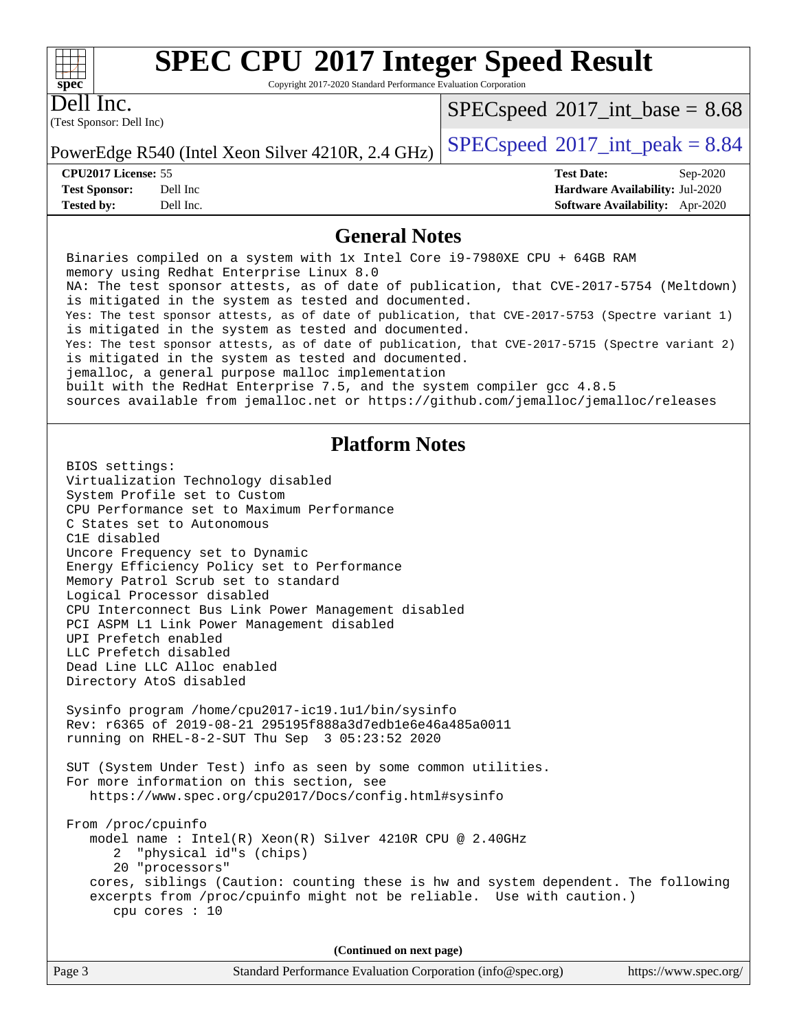Copyright 2017-2020 Standard Performance Evaluation Corporation

Dell Inc.

**[spec](http://www.spec.org/)**

 $+\hskip -1.5pt +\hskip -1.5pt +$ 

(Test Sponsor: Dell Inc)

 $SPECspeed^{\circ}2017\_int\_base = 8.68$  $SPECspeed^{\circ}2017\_int\_base = 8.68$ 

PowerEdge R540 (Intel Xeon Silver 4210R, 2.4 GHz)  $\left|$  [SPECspeed](http://www.spec.org/auto/cpu2017/Docs/result-fields.html#SPECspeed2017intpeak)<sup>®</sup>[2017\\_int\\_peak = 8](http://www.spec.org/auto/cpu2017/Docs/result-fields.html#SPECspeed2017intpeak).84

**[CPU2017 License:](http://www.spec.org/auto/cpu2017/Docs/result-fields.html#CPU2017License)** 55 **[Test Date:](http://www.spec.org/auto/cpu2017/Docs/result-fields.html#TestDate)** Sep-2020 **[Test Sponsor:](http://www.spec.org/auto/cpu2017/Docs/result-fields.html#TestSponsor)** Dell Inc **[Hardware Availability:](http://www.spec.org/auto/cpu2017/Docs/result-fields.html#HardwareAvailability)** Jul-2020 **[Tested by:](http://www.spec.org/auto/cpu2017/Docs/result-fields.html#Testedby)** Dell Inc. **[Software Availability:](http://www.spec.org/auto/cpu2017/Docs/result-fields.html#SoftwareAvailability)** Apr-2020

#### **[General Notes](http://www.spec.org/auto/cpu2017/Docs/result-fields.html#GeneralNotes)**

 Binaries compiled on a system with 1x Intel Core i9-7980XE CPU + 64GB RAM memory using Redhat Enterprise Linux 8.0 NA: The test sponsor attests, as of date of publication, that CVE-2017-5754 (Meltdown) is mitigated in the system as tested and documented. Yes: The test sponsor attests, as of date of publication, that CVE-2017-5753 (Spectre variant 1) is mitigated in the system as tested and documented. Yes: The test sponsor attests, as of date of publication, that CVE-2017-5715 (Spectre variant 2) is mitigated in the system as tested and documented. jemalloc, a general purpose malloc implementation built with the RedHat Enterprise 7.5, and the system compiler gcc 4.8.5 sources available from jemalloc.net or<https://github.com/jemalloc/jemalloc/releases> **[Platform Notes](http://www.spec.org/auto/cpu2017/Docs/result-fields.html#PlatformNotes)** BIOS settings: Virtualization Technology disabled System Profile set to Custom CPU Performance set to Maximum Performance C States set to Autonomous C1E disabled Uncore Frequency set to Dynamic Energy Efficiency Policy set to Performance Memory Patrol Scrub set to standard Logical Processor disabled CPU Interconnect Bus Link Power Management disabled PCI ASPM L1 Link Power Management disabled UPI Prefetch enabled LLC Prefetch disabled Dead Line LLC Alloc enabled Directory AtoS disabled Sysinfo program /home/cpu2017-ic19.1u1/bin/sysinfo Rev: r6365 of 2019-08-21 295195f888a3d7edb1e6e46a485a0011 running on RHEL-8-2-SUT Thu Sep 3 05:23:52 2020 SUT (System Under Test) info as seen by some common utilities. For more information on this section, see <https://www.spec.org/cpu2017/Docs/config.html#sysinfo> From /proc/cpuinfo model name : Intel(R) Xeon(R) Silver 4210R CPU @ 2.40GHz 2 "physical id"s (chips) 20 "processors" cores, siblings (Caution: counting these is hw and system dependent. The following excerpts from /proc/cpuinfo might not be reliable. Use with caution.) cpu cores : 10 **(Continued on next page)**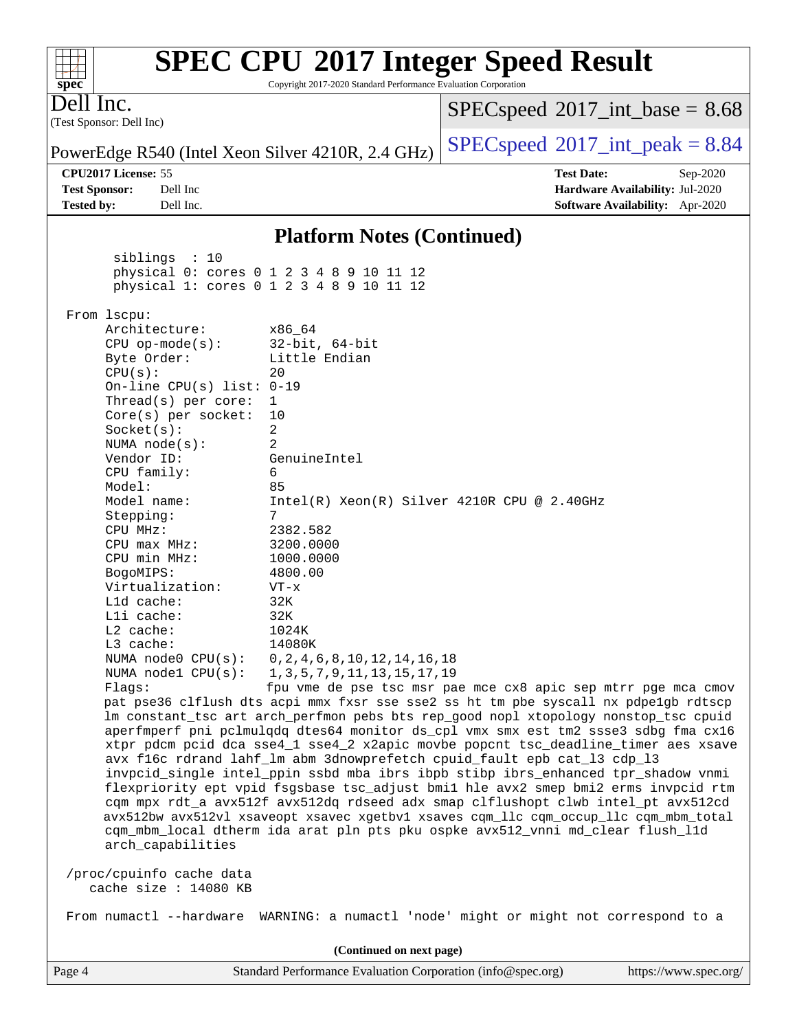#### **[spec](http://www.spec.org/) [SPEC CPU](http://www.spec.org/auto/cpu2017/Docs/result-fields.html#SPECCPU2017IntegerSpeedResult)[2017 Integer Speed Result](http://www.spec.org/auto/cpu2017/Docs/result-fields.html#SPECCPU2017IntegerSpeedResult)** Copyright 2017-2020 Standard Performance Evaluation Corporation (Test Sponsor: Dell Inc) Dell Inc. PowerEdge R540 (Intel Xeon Silver 4210R, 2.4 GHz)  $\left|$  [SPECspeed](http://www.spec.org/auto/cpu2017/Docs/result-fields.html#SPECspeed2017intpeak)<sup>®</sup>[2017\\_int\\_peak = 8](http://www.spec.org/auto/cpu2017/Docs/result-fields.html#SPECspeed2017intpeak).84  $SPECspeed^{\circ}2017\_int\_base = 8.68$  $SPECspeed^{\circ}2017\_int\_base = 8.68$ **[CPU2017 License:](http://www.spec.org/auto/cpu2017/Docs/result-fields.html#CPU2017License)** 55 **[Test Date:](http://www.spec.org/auto/cpu2017/Docs/result-fields.html#TestDate)** Sep-2020 **[Test Sponsor:](http://www.spec.org/auto/cpu2017/Docs/result-fields.html#TestSponsor)** Dell Inc **[Hardware Availability:](http://www.spec.org/auto/cpu2017/Docs/result-fields.html#HardwareAvailability)** Jul-2020 **[Tested by:](http://www.spec.org/auto/cpu2017/Docs/result-fields.html#Testedby)** Dell Inc. **[Software Availability:](http://www.spec.org/auto/cpu2017/Docs/result-fields.html#SoftwareAvailability)** Apr-2020 **[Platform Notes \(Continued\)](http://www.spec.org/auto/cpu2017/Docs/result-fields.html#PlatformNotes)** siblings : 10 physical 0: cores 0 1 2 3 4 8 9 10 11 12 physical 1: cores 0 1 2 3 4 8 9 10 11 12 From lscpu: Architecture: x86\_64<br>CPU op-mode(s): 32-bit, 64-bit CPU op-mode $(s)$ : Byte Order: Little Endian  $CPU(s):$  20 On-line CPU(s) list: 0-19 Thread(s) per core: 1 Core(s) per socket: 10 Socket(s): 2 NUMA node(s): 2 Vendor ID: GenuineIntel CPU family: 6 Model: 85 Model name: Intel(R) Xeon(R) Silver 4210R CPU @ 2.40GHz Stepping: 7 CPU MHz: 2382.582 CPU max MHz: 3200.0000 CPU min MHz: 1000.0000 BogoMIPS: 4800.00 Virtualization: VT-x L1d cache: 32K L1i cache: 32K L2 cache: 1024K L3 cache: 14080K NUMA node0 CPU(s): 0,2,4,6,8,10,12,14,16,18 NUMA node1 CPU(s): 1,3,5,7,9,11,13,15,17,19 Flags: fpu vme de pse tsc msr pae mce cx8 apic sep mtrr pge mca cmov pat pse36 clflush dts acpi mmx fxsr sse sse2 ss ht tm pbe syscall nx pdpe1gb rdtscp lm constant\_tsc art arch\_perfmon pebs bts rep\_good nopl xtopology nonstop\_tsc cpuid aperfmperf pni pclmulqdq dtes64 monitor ds\_cpl vmx smx est tm2 ssse3 sdbg fma cx16 xtpr pdcm pcid dca sse4\_1 sse4\_2 x2apic movbe popcnt tsc\_deadline\_timer aes xsave avx f16c rdrand lahf\_lm abm 3dnowprefetch cpuid\_fault epb cat\_l3 cdp\_l3 invpcid\_single intel\_ppin ssbd mba ibrs ibpb stibp ibrs\_enhanced tpr\_shadow vnmi flexpriority ept vpid fsgsbase tsc\_adjust bmi1 hle avx2 smep bmi2 erms invpcid rtm cqm mpx rdt\_a avx512f avx512dq rdseed adx smap clflushopt clwb intel\_pt avx512cd avx512bw avx512vl xsaveopt xsavec xgetbv1 xsaves cqm\_llc cqm\_occup\_llc cqm\_mbm\_total cqm\_mbm\_local dtherm ida arat pln pts pku ospke avx512\_vnni md\_clear flush\_l1d arch\_capabilities /proc/cpuinfo cache data cache size : 14080 KB From numactl --hardware WARNING: a numactl 'node' might or might not correspond to a **(Continued on next page)**

 $+\!\!+\!\!$ 

Page 4 Standard Performance Evaluation Corporation [\(info@spec.org\)](mailto:info@spec.org) <https://www.spec.org/>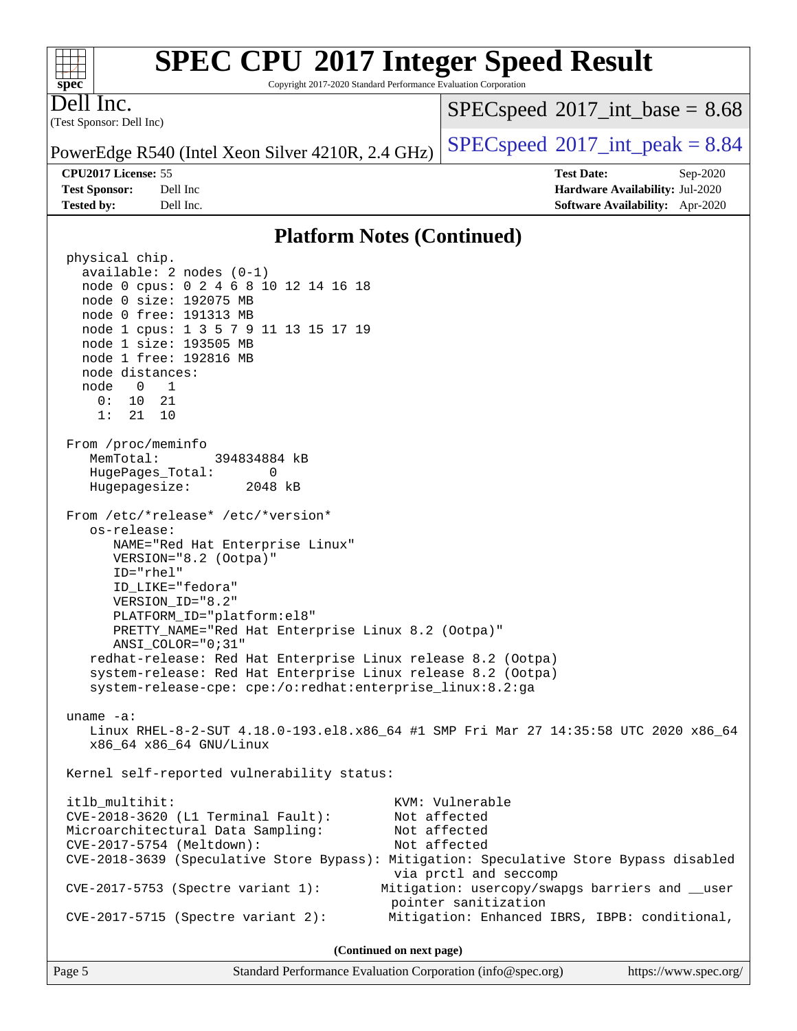Copyright 2017-2020 Standard Performance Evaluation Corporation

(Test Sponsor: Dell Inc) Dell Inc.

**[spec](http://www.spec.org/)**

 $+\ +$ 

 $SPECspeed^{\circ}2017\_int\_base = 8.68$  $SPECspeed^{\circ}2017\_int\_base = 8.68$ 

PowerEdge R540 (Intel Xeon Silver 4210R, 2.4 GHz)  $\left|$  [SPECspeed](http://www.spec.org/auto/cpu2017/Docs/result-fields.html#SPECspeed2017intpeak)<sup>®</sup>[2017\\_int\\_peak = 8](http://www.spec.org/auto/cpu2017/Docs/result-fields.html#SPECspeed2017intpeak).84

**[CPU2017 License:](http://www.spec.org/auto/cpu2017/Docs/result-fields.html#CPU2017License)** 55 **[Test Date:](http://www.spec.org/auto/cpu2017/Docs/result-fields.html#TestDate)** Sep-2020 **[Test Sponsor:](http://www.spec.org/auto/cpu2017/Docs/result-fields.html#TestSponsor)** Dell Inc **[Hardware Availability:](http://www.spec.org/auto/cpu2017/Docs/result-fields.html#HardwareAvailability)** Jul-2020 **[Tested by:](http://www.spec.org/auto/cpu2017/Docs/result-fields.html#Testedby)** Dell Inc. **[Software Availability:](http://www.spec.org/auto/cpu2017/Docs/result-fields.html#SoftwareAvailability)** Apr-2020

#### **[Platform Notes \(Continued\)](http://www.spec.org/auto/cpu2017/Docs/result-fields.html#PlatformNotes)**

 physical chip. available: 2 nodes (0-1) node 0 cpus: 0 2 4 6 8 10 12 14 16 18 node 0 size: 192075 MB node 0 free: 191313 MB node 1 cpus: 1 3 5 7 9 11 13 15 17 19 node 1 size: 193505 MB node 1 free: 192816 MB node distances: node 0 1 0: 10 21 1: 21 10 From /proc/meminfo MemTotal: 394834884 kB HugePages\_Total: 0 Hugepagesize: 2048 kB From /etc/\*release\* /etc/\*version\* os-release: NAME="Red Hat Enterprise Linux" VERSION="8.2 (Ootpa)" ID="rhel" ID\_LIKE="fedora" VERSION\_ID="8.2" PLATFORM\_ID="platform:el8" PRETTY\_NAME="Red Hat Enterprise Linux 8.2 (Ootpa)" ANSI\_COLOR="0;31" redhat-release: Red Hat Enterprise Linux release 8.2 (Ootpa) system-release: Red Hat Enterprise Linux release 8.2 (Ootpa) system-release-cpe: cpe:/o:redhat:enterprise\_linux:8.2:ga uname -a: Linux RHEL-8-2-SUT 4.18.0-193.el8.x86\_64 #1 SMP Fri Mar 27 14:35:58 UTC 2020 x86\_64 x86\_64 x86\_64 GNU/Linux Kernel self-reported vulnerability status: itlb\_multihit: KVM: Vulnerable CVE-2018-3620 (L1 Terminal Fault): Not affected Microarchitectural Data Sampling: Not affected CVE-2017-5754 (Meltdown): Not affected CVE-2018-3639 (Speculative Store Bypass): Mitigation: Speculative Store Bypass disabled via prctl and seccomp CVE-2017-5753 (Spectre variant 1): Mitigation: usercopy/swapgs barriers and \_\_user pointer sanitization CVE-2017-5715 (Spectre variant 2): Mitigation: Enhanced IBRS, IBPB: conditional, **(Continued on next page)**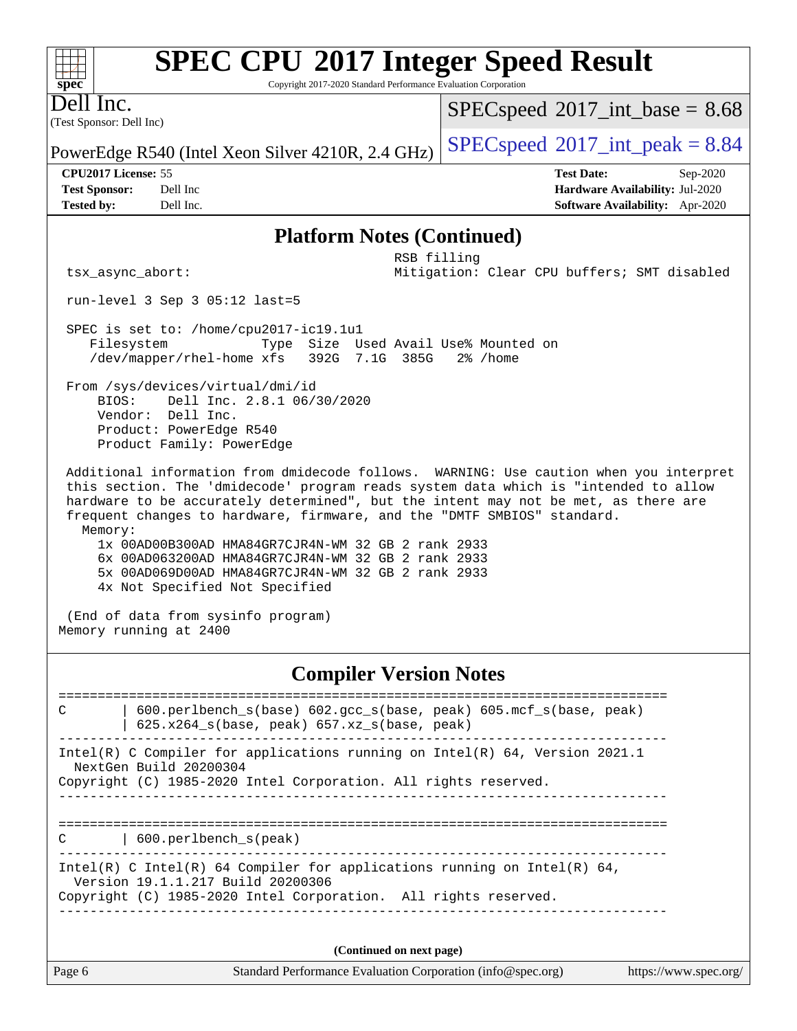Copyright 2017-2020 Standard Performance Evaluation Corporation

(Test Sponsor: Dell Inc) Dell Inc.

**[spec](http://www.spec.org/)**

 $+\!\!+\!\!$ 

 $SPECspeed^{\circ}2017\_int\_base = 8.68$  $SPECspeed^{\circ}2017\_int\_base = 8.68$ 

PowerEdge R540 (Intel Xeon Silver 4210R, 2.4 GHz)  $\left|$  [SPECspeed](http://www.spec.org/auto/cpu2017/Docs/result-fields.html#SPECspeed2017intpeak)®[2017\\_int\\_peak = 8](http://www.spec.org/auto/cpu2017/Docs/result-fields.html#SPECspeed2017intpeak).84

**[CPU2017 License:](http://www.spec.org/auto/cpu2017/Docs/result-fields.html#CPU2017License)** 55 **[Test Date:](http://www.spec.org/auto/cpu2017/Docs/result-fields.html#TestDate)** Sep-2020 **[Test Sponsor:](http://www.spec.org/auto/cpu2017/Docs/result-fields.html#TestSponsor)** Dell Inc **[Hardware Availability:](http://www.spec.org/auto/cpu2017/Docs/result-fields.html#HardwareAvailability)** Jul-2020 **[Tested by:](http://www.spec.org/auto/cpu2017/Docs/result-fields.html#Testedby)** Dell Inc. **[Software Availability:](http://www.spec.org/auto/cpu2017/Docs/result-fields.html#SoftwareAvailability)** Apr-2020

#### **[Platform Notes \(Continued\)](http://www.spec.org/auto/cpu2017/Docs/result-fields.html#PlatformNotes)**

 RSB filling tsx\_async\_abort: Mitigation: Clear CPU buffers; SMT disabled

run-level 3 Sep 3 05:12 last=5

 SPEC is set to: /home/cpu2017-ic19.1u1 Filesystem Type Size Used Avail Use% Mounted on /dev/mapper/rhel-home xfs 392G 7.1G 385G 2% /home

 From /sys/devices/virtual/dmi/id BIOS: Dell Inc. 2.8.1 06/30/2020 Vendor: Dell Inc. Product: PowerEdge R540 Product Family: PowerEdge

 Additional information from dmidecode follows. WARNING: Use caution when you interpret this section. The 'dmidecode' program reads system data which is "intended to allow hardware to be accurately determined", but the intent may not be met, as there are frequent changes to hardware, firmware, and the "DMTF SMBIOS" standard. Memory:

 1x 00AD00B300AD HMA84GR7CJR4N-WM 32 GB 2 rank 2933 6x 00AD063200AD HMA84GR7CJR4N-WM 32 GB 2 rank 2933 5x 00AD069D00AD HMA84GR7CJR4N-WM 32 GB 2 rank 2933 4x Not Specified Not Specified

 (End of data from sysinfo program) Memory running at 2400

#### **[Compiler Version Notes](http://www.spec.org/auto/cpu2017/Docs/result-fields.html#CompilerVersionNotes)**

Page 6 Standard Performance Evaluation Corporation [\(info@spec.org\)](mailto:info@spec.org) <https://www.spec.org/> ============================================================================== C | 600.perlbench\_s(base) 602.gcc\_s(base, peak) 605.mcf\_s(base, peak) | 625.x264\_s(base, peak) 657.xz\_s(base, peak) ------------------------------------------------------------------------------ Intel(R) C Compiler for applications running on Intel(R) 64, Version 2021.1 NextGen Build 20200304 Copyright (C) 1985-2020 Intel Corporation. All rights reserved. ------------------------------------------------------------------------------ ============================================================================== C | 600.perlbench\_s(peak) ------------------------------------------------------------------------------ Intel(R) C Intel(R) 64 Compiler for applications running on Intel(R)  $64$ , Version 19.1.1.217 Build 20200306 Copyright (C) 1985-2020 Intel Corporation. All rights reserved. ------------------------------------------------------------------------------ **(Continued on next page)**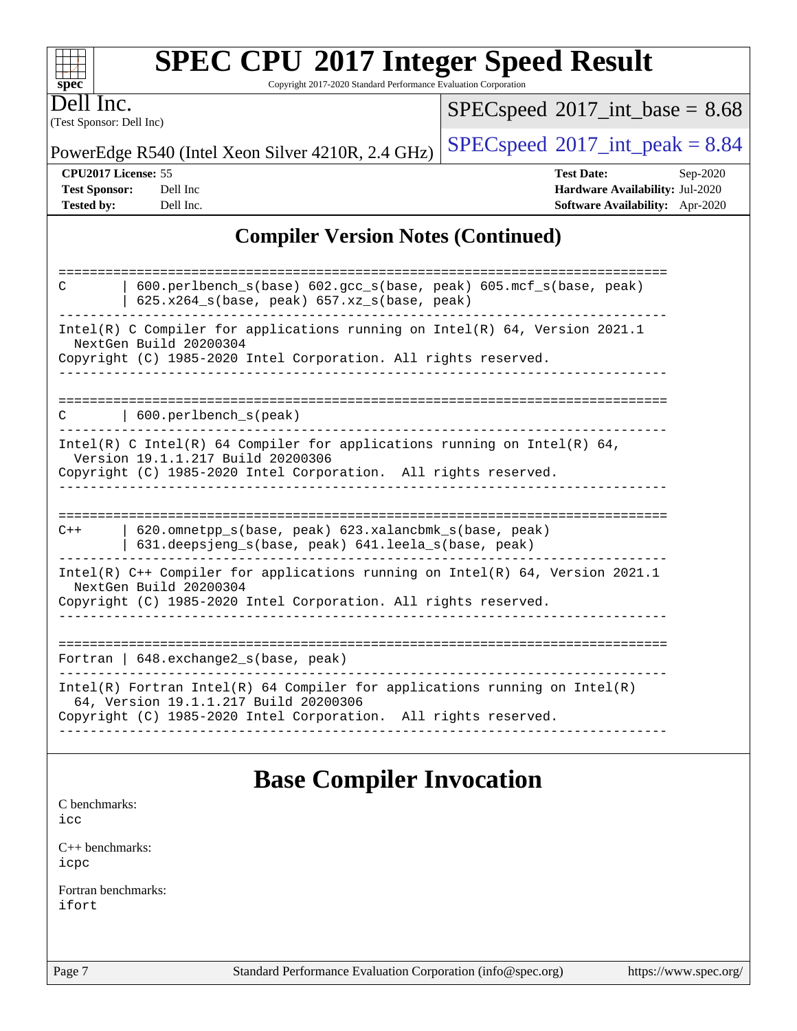| <b>SPEC CPU®2017 Integer Speed Result</b> |  |  |  |
|-------------------------------------------|--|--|--|
|-------------------------------------------|--|--|--|

Copyright 2017-2020 Standard Performance Evaluation Corporation

(Test Sponsor: Dell Inc) Dell Inc.

**[spec](http://www.spec.org/)**

 $+\!\!+\!\!$ 

 $SPECspeed*2017\_int\_base = 8.68$  $SPECspeed*2017\_int\_base = 8.68$ 

PowerEdge R540 (Intel Xeon Silver 4210R, 2.4 GHz)  $\left|$  [SPECspeed](http://www.spec.org/auto/cpu2017/Docs/result-fields.html#SPECspeed2017intpeak)<sup>®</sup>[2017\\_int\\_peak = 8](http://www.spec.org/auto/cpu2017/Docs/result-fields.html#SPECspeed2017intpeak).84

**[CPU2017 License:](http://www.spec.org/auto/cpu2017/Docs/result-fields.html#CPU2017License)** 55 **[Test Date:](http://www.spec.org/auto/cpu2017/Docs/result-fields.html#TestDate)** Sep-2020 **[Test Sponsor:](http://www.spec.org/auto/cpu2017/Docs/result-fields.html#TestSponsor)** Dell Inc **[Hardware Availability:](http://www.spec.org/auto/cpu2017/Docs/result-fields.html#HardwareAvailability)** Jul-2020 **[Tested by:](http://www.spec.org/auto/cpu2017/Docs/result-fields.html#Testedby)** Dell Inc. **[Software Availability:](http://www.spec.org/auto/cpu2017/Docs/result-fields.html#SoftwareAvailability)** Apr-2020

### **[Compiler Version Notes \(Continued\)](http://www.spec.org/auto/cpu2017/Docs/result-fields.html#CompilerVersionNotes)**

| 600.perlbench_s(base) 602.gcc_s(base, peak) 605.mcf_s(base, peak)<br>C<br>$625.x264_s(base, peak)$ $657.xz_s(base, peak)$                                                              |
|----------------------------------------------------------------------------------------------------------------------------------------------------------------------------------------|
| Intel(R) C Compiler for applications running on Intel(R) $64$ , Version 2021.1<br>NextGen Build 20200304<br>Copyright (C) 1985-2020 Intel Corporation. All rights reserved.            |
| $600.$ perlbench s(peak)<br>C                                                                                                                                                          |
| Intel(R) C Intel(R) 64 Compiler for applications running on Intel(R) 64,<br>Version 19.1.1.217 Build 20200306<br>Copyright (C) 1985-2020 Intel Corporation. All rights reserved.       |
|                                                                                                                                                                                        |
| 620.omnetpp s(base, peak) 623.xalancbmk s(base, peak)<br>$C++$<br>631.deepsjeng_s(base, peak) 641.leela_s(base, peak)                                                                  |
| Intel(R) $C++$ Compiler for applications running on Intel(R) 64, Version 2021.1<br>NextGen Build 20200304<br>Copyright (C) 1985-2020 Intel Corporation. All rights reserved.           |
|                                                                                                                                                                                        |
| Fortran   $648$ . exchange2 $s$ (base, peak)                                                                                                                                           |
| Intel(R) Fortran Intel(R) 64 Compiler for applications running on Intel(R)<br>64, Version 19.1.1.217 Build 20200306<br>Copyright (C) 1985-2020 Intel Corporation. All rights reserved. |
|                                                                                                                                                                                        |

### **[Base Compiler Invocation](http://www.spec.org/auto/cpu2017/Docs/result-fields.html#BaseCompilerInvocation)**

[C benchmarks](http://www.spec.org/auto/cpu2017/Docs/result-fields.html#Cbenchmarks):

[icc](http://www.spec.org/cpu2017/results/res2020q4/cpu2017-20200928-24057.flags.html#user_CCbase_intel_icc_66fc1ee009f7361af1fbd72ca7dcefbb700085f36577c54f309893dd4ec40d12360134090235512931783d35fd58c0460139e722d5067c5574d8eaf2b3e37e92)

[C++ benchmarks:](http://www.spec.org/auto/cpu2017/Docs/result-fields.html#CXXbenchmarks) [icpc](http://www.spec.org/cpu2017/results/res2020q4/cpu2017-20200928-24057.flags.html#user_CXXbase_intel_icpc_c510b6838c7f56d33e37e94d029a35b4a7bccf4766a728ee175e80a419847e808290a9b78be685c44ab727ea267ec2f070ec5dc83b407c0218cded6866a35d07)

[Fortran benchmarks](http://www.spec.org/auto/cpu2017/Docs/result-fields.html#Fortranbenchmarks): [ifort](http://www.spec.org/cpu2017/results/res2020q4/cpu2017-20200928-24057.flags.html#user_FCbase_intel_ifort_8111460550e3ca792625aed983ce982f94888b8b503583aa7ba2b8303487b4d8a21a13e7191a45c5fd58ff318f48f9492884d4413fa793fd88dd292cad7027ca)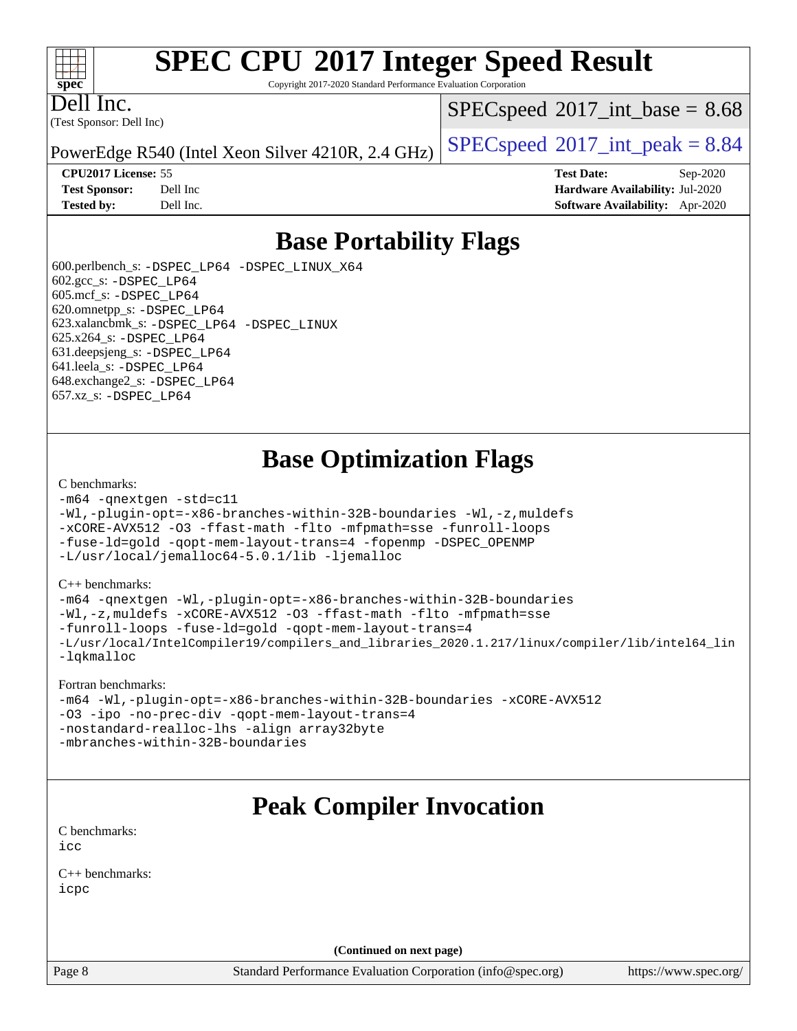#### $\pm\pm\tau$ **[spec](http://www.spec.org/)**

# **[SPEC CPU](http://www.spec.org/auto/cpu2017/Docs/result-fields.html#SPECCPU2017IntegerSpeedResult)[2017 Integer Speed Result](http://www.spec.org/auto/cpu2017/Docs/result-fields.html#SPECCPU2017IntegerSpeedResult)**

Copyright 2017-2020 Standard Performance Evaluation Corporation

(Test Sponsor: Dell Inc) Dell Inc.

 $SPECspeed^{\circ}2017\_int\_base = 8.68$  $SPECspeed^{\circ}2017\_int\_base = 8.68$ 

PowerEdge R540 (Intel Xeon Silver 4210R, 2.4 GHz)  $\left|$  [SPECspeed](http://www.spec.org/auto/cpu2017/Docs/result-fields.html#SPECspeed2017intpeak)<sup>®</sup>[2017\\_int\\_peak = 8](http://www.spec.org/auto/cpu2017/Docs/result-fields.html#SPECspeed2017intpeak).84

**[CPU2017 License:](http://www.spec.org/auto/cpu2017/Docs/result-fields.html#CPU2017License)** 55 **[Test Date:](http://www.spec.org/auto/cpu2017/Docs/result-fields.html#TestDate)** Sep-2020 **[Test Sponsor:](http://www.spec.org/auto/cpu2017/Docs/result-fields.html#TestSponsor)** Dell Inc **[Hardware Availability:](http://www.spec.org/auto/cpu2017/Docs/result-fields.html#HardwareAvailability)** Jul-2020 **[Tested by:](http://www.spec.org/auto/cpu2017/Docs/result-fields.html#Testedby)** Dell Inc. **[Software Availability:](http://www.spec.org/auto/cpu2017/Docs/result-fields.html#SoftwareAvailability)** Apr-2020

### **[Base Portability Flags](http://www.spec.org/auto/cpu2017/Docs/result-fields.html#BasePortabilityFlags)**

 600.perlbench\_s: [-DSPEC\\_LP64](http://www.spec.org/cpu2017/results/res2020q4/cpu2017-20200928-24057.flags.html#b600.perlbench_s_basePORTABILITY_DSPEC_LP64) [-DSPEC\\_LINUX\\_X64](http://www.spec.org/cpu2017/results/res2020q4/cpu2017-20200928-24057.flags.html#b600.perlbench_s_baseCPORTABILITY_DSPEC_LINUX_X64) 602.gcc\_s: [-DSPEC\\_LP64](http://www.spec.org/cpu2017/results/res2020q4/cpu2017-20200928-24057.flags.html#suite_basePORTABILITY602_gcc_s_DSPEC_LP64) 605.mcf\_s: [-DSPEC\\_LP64](http://www.spec.org/cpu2017/results/res2020q4/cpu2017-20200928-24057.flags.html#suite_basePORTABILITY605_mcf_s_DSPEC_LP64) 620.omnetpp\_s: [-DSPEC\\_LP64](http://www.spec.org/cpu2017/results/res2020q4/cpu2017-20200928-24057.flags.html#suite_basePORTABILITY620_omnetpp_s_DSPEC_LP64) 623.xalancbmk\_s: [-DSPEC\\_LP64](http://www.spec.org/cpu2017/results/res2020q4/cpu2017-20200928-24057.flags.html#suite_basePORTABILITY623_xalancbmk_s_DSPEC_LP64) [-DSPEC\\_LINUX](http://www.spec.org/cpu2017/results/res2020q4/cpu2017-20200928-24057.flags.html#b623.xalancbmk_s_baseCXXPORTABILITY_DSPEC_LINUX) 625.x264\_s: [-DSPEC\\_LP64](http://www.spec.org/cpu2017/results/res2020q4/cpu2017-20200928-24057.flags.html#suite_basePORTABILITY625_x264_s_DSPEC_LP64) 631.deepsjeng\_s: [-DSPEC\\_LP64](http://www.spec.org/cpu2017/results/res2020q4/cpu2017-20200928-24057.flags.html#suite_basePORTABILITY631_deepsjeng_s_DSPEC_LP64) 641.leela\_s: [-DSPEC\\_LP64](http://www.spec.org/cpu2017/results/res2020q4/cpu2017-20200928-24057.flags.html#suite_basePORTABILITY641_leela_s_DSPEC_LP64) 648.exchange2\_s: [-DSPEC\\_LP64](http://www.spec.org/cpu2017/results/res2020q4/cpu2017-20200928-24057.flags.html#suite_basePORTABILITY648_exchange2_s_DSPEC_LP64) 657.xz\_s: [-DSPEC\\_LP64](http://www.spec.org/cpu2017/results/res2020q4/cpu2017-20200928-24057.flags.html#suite_basePORTABILITY657_xz_s_DSPEC_LP64)

## **[Base Optimization Flags](http://www.spec.org/auto/cpu2017/Docs/result-fields.html#BaseOptimizationFlags)**

#### [C benchmarks](http://www.spec.org/auto/cpu2017/Docs/result-fields.html#Cbenchmarks):

```
-m64 -qnextgen -std=c11
-Wl,-plugin-opt=-x86-branches-within-32B-boundaries -Wl,-z,muldefs
-xCORE-AVX512 -O3 -ffast-math -flto -mfpmath=sse -funroll-loops
-fuse-ld=gold -qopt-mem-layout-trans=4 -fopenmp -DSPEC_OPENMP
-L/usr/local/jemalloc64-5.0.1/lib -ljemalloc
```
#### [C++ benchmarks:](http://www.spec.org/auto/cpu2017/Docs/result-fields.html#CXXbenchmarks)

```
-m64 -qnextgen -Wl,-plugin-opt=-x86-branches-within-32B-boundaries
-Wl,-z,muldefs -xCORE-AVX512 -O3 -ffast-math -flto -mfpmath=sse
-funroll-loops -fuse-ld=gold -qopt-mem-layout-trans=4
-L/usr/local/IntelCompiler19/compilers_and_libraries_2020.1.217/linux/compiler/lib/intel64_lin
-lqkmalloc
```
#### [Fortran benchmarks:](http://www.spec.org/auto/cpu2017/Docs/result-fields.html#Fortranbenchmarks)

```
-m64 -Wl,-plugin-opt=-x86-branches-within-32B-boundaries -xCORE-AVX512
-O3 -ipo -no-prec-div -qopt-mem-layout-trans=4
-nostandard-realloc-lhs -align array32byte
-mbranches-within-32B-boundaries
```
## **[Peak Compiler Invocation](http://www.spec.org/auto/cpu2017/Docs/result-fields.html#PeakCompilerInvocation)**

[C benchmarks](http://www.spec.org/auto/cpu2017/Docs/result-fields.html#Cbenchmarks): [icc](http://www.spec.org/cpu2017/results/res2020q4/cpu2017-20200928-24057.flags.html#user_CCpeak_intel_icc_66fc1ee009f7361af1fbd72ca7dcefbb700085f36577c54f309893dd4ec40d12360134090235512931783d35fd58c0460139e722d5067c5574d8eaf2b3e37e92)

[C++ benchmarks:](http://www.spec.org/auto/cpu2017/Docs/result-fields.html#CXXbenchmarks) [icpc](http://www.spec.org/cpu2017/results/res2020q4/cpu2017-20200928-24057.flags.html#user_CXXpeak_intel_icpc_c510b6838c7f56d33e37e94d029a35b4a7bccf4766a728ee175e80a419847e808290a9b78be685c44ab727ea267ec2f070ec5dc83b407c0218cded6866a35d07)

**(Continued on next page)**

Page 8 Standard Performance Evaluation Corporation [\(info@spec.org\)](mailto:info@spec.org) <https://www.spec.org/>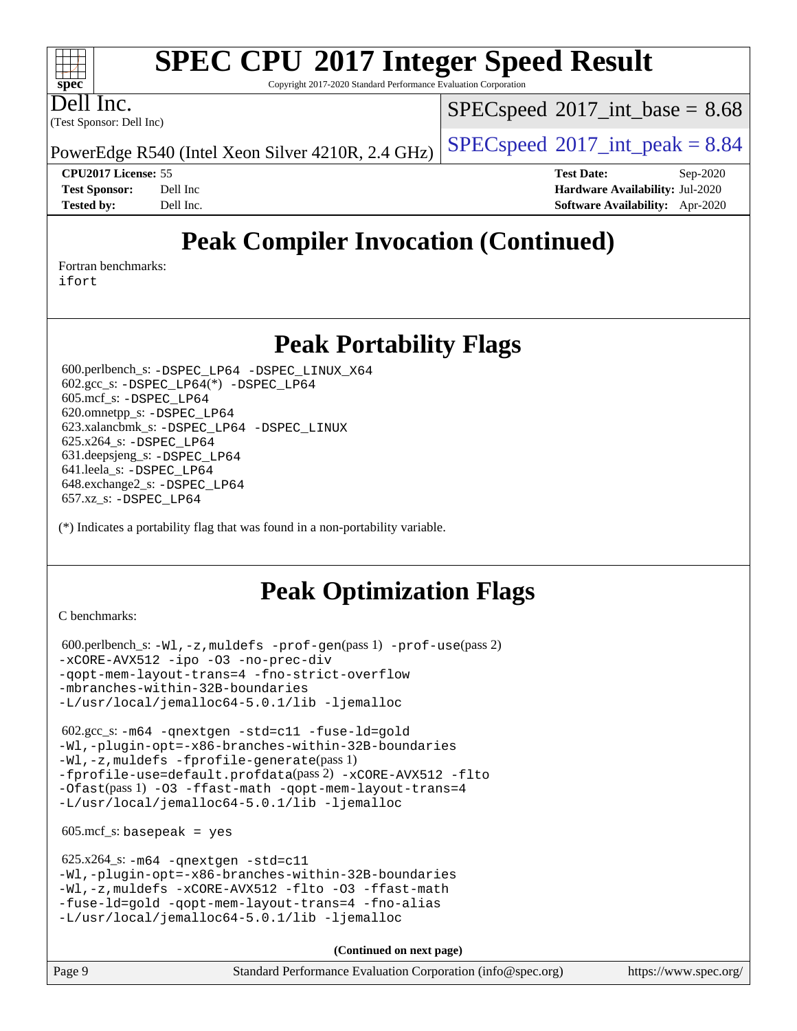Copyright 2017-2020 Standard Performance Evaluation Corporation

(Test Sponsor: Dell Inc) Dell Inc.

**[spec](http://www.spec.org/)**

 $+\ +$ 

 $SPECspeed^{\circ}2017\_int\_base = 8.68$  $SPECspeed^{\circ}2017\_int\_base = 8.68$ 

PowerEdge R540 (Intel Xeon Silver 4210R, 2.4 GHz)  $\left|$  [SPECspeed](http://www.spec.org/auto/cpu2017/Docs/result-fields.html#SPECspeed2017intpeak)<sup>®</sup>[2017\\_int\\_peak = 8](http://www.spec.org/auto/cpu2017/Docs/result-fields.html#SPECspeed2017intpeak).84

**[CPU2017 License:](http://www.spec.org/auto/cpu2017/Docs/result-fields.html#CPU2017License)** 55 **[Test Date:](http://www.spec.org/auto/cpu2017/Docs/result-fields.html#TestDate)** Sep-2020 **[Test Sponsor:](http://www.spec.org/auto/cpu2017/Docs/result-fields.html#TestSponsor)** Dell Inc **[Hardware Availability:](http://www.spec.org/auto/cpu2017/Docs/result-fields.html#HardwareAvailability)** Jul-2020 **[Tested by:](http://www.spec.org/auto/cpu2017/Docs/result-fields.html#Testedby)** Dell Inc. **[Software Availability:](http://www.spec.org/auto/cpu2017/Docs/result-fields.html#SoftwareAvailability)** Apr-2020

# **[Peak Compiler Invocation \(Continued\)](http://www.spec.org/auto/cpu2017/Docs/result-fields.html#PeakCompilerInvocation)**

[Fortran benchmarks](http://www.spec.org/auto/cpu2017/Docs/result-fields.html#Fortranbenchmarks):

[ifort](http://www.spec.org/cpu2017/results/res2020q4/cpu2017-20200928-24057.flags.html#user_FCpeak_intel_ifort_8111460550e3ca792625aed983ce982f94888b8b503583aa7ba2b8303487b4d8a21a13e7191a45c5fd58ff318f48f9492884d4413fa793fd88dd292cad7027ca)

### **[Peak Portability Flags](http://www.spec.org/auto/cpu2017/Docs/result-fields.html#PeakPortabilityFlags)**

 600.perlbench\_s: [-DSPEC\\_LP64](http://www.spec.org/cpu2017/results/res2020q4/cpu2017-20200928-24057.flags.html#b600.perlbench_s_peakPORTABILITY_DSPEC_LP64) [-DSPEC\\_LINUX\\_X64](http://www.spec.org/cpu2017/results/res2020q4/cpu2017-20200928-24057.flags.html#b600.perlbench_s_peakCPORTABILITY_DSPEC_LINUX_X64) 602.gcc\_s: [-DSPEC\\_LP64](http://www.spec.org/cpu2017/results/res2020q4/cpu2017-20200928-24057.flags.html#suite_peakCCLD602_gcc_s_DSPEC_LP64)(\*) [-DSPEC\\_LP64](http://www.spec.org/cpu2017/results/res2020q4/cpu2017-20200928-24057.flags.html#suite_peakPORTABILITY602_gcc_s_DSPEC_LP64) 605.mcf\_s: [-DSPEC\\_LP64](http://www.spec.org/cpu2017/results/res2020q4/cpu2017-20200928-24057.flags.html#suite_peakPORTABILITY605_mcf_s_DSPEC_LP64) 620.omnetpp\_s: [-DSPEC\\_LP64](http://www.spec.org/cpu2017/results/res2020q4/cpu2017-20200928-24057.flags.html#suite_peakPORTABILITY620_omnetpp_s_DSPEC_LP64) 623.xalancbmk\_s: [-DSPEC\\_LP64](http://www.spec.org/cpu2017/results/res2020q4/cpu2017-20200928-24057.flags.html#suite_peakPORTABILITY623_xalancbmk_s_DSPEC_LP64) [-DSPEC\\_LINUX](http://www.spec.org/cpu2017/results/res2020q4/cpu2017-20200928-24057.flags.html#b623.xalancbmk_s_peakCXXPORTABILITY_DSPEC_LINUX) 625.x264\_s: [-DSPEC\\_LP64](http://www.spec.org/cpu2017/results/res2020q4/cpu2017-20200928-24057.flags.html#suite_peakPORTABILITY625_x264_s_DSPEC_LP64) 631.deepsjeng\_s: [-DSPEC\\_LP64](http://www.spec.org/cpu2017/results/res2020q4/cpu2017-20200928-24057.flags.html#suite_peakPORTABILITY631_deepsjeng_s_DSPEC_LP64) 641.leela\_s: [-DSPEC\\_LP64](http://www.spec.org/cpu2017/results/res2020q4/cpu2017-20200928-24057.flags.html#suite_peakPORTABILITY641_leela_s_DSPEC_LP64) 648.exchange2\_s: [-DSPEC\\_LP64](http://www.spec.org/cpu2017/results/res2020q4/cpu2017-20200928-24057.flags.html#suite_peakPORTABILITY648_exchange2_s_DSPEC_LP64) 657.xz\_s: [-DSPEC\\_LP64](http://www.spec.org/cpu2017/results/res2020q4/cpu2017-20200928-24057.flags.html#suite_peakPORTABILITY657_xz_s_DSPEC_LP64)

(\*) Indicates a portability flag that was found in a non-portability variable.

# **[Peak Optimization Flags](http://www.spec.org/auto/cpu2017/Docs/result-fields.html#PeakOptimizationFlags)**

[C benchmarks](http://www.spec.org/auto/cpu2017/Docs/result-fields.html#Cbenchmarks):

```
 600.perlbench_s: -Wl,-z,muldefs -prof-gen(pass 1) -prof-use(pass 2)
-xCORE-AVX512 -ipo -O3 -no-prec-div
-qopt-mem-layout-trans=4 -fno-strict-overflow
-mbranches-within-32B-boundaries
-L/usr/local/jemalloc64-5.0.1/lib -ljemalloc
```
 602.gcc\_s: [-m64](http://www.spec.org/cpu2017/results/res2020q4/cpu2017-20200928-24057.flags.html#user_peakCCLD602_gcc_s_m64-icc) [-qnextgen](http://www.spec.org/cpu2017/results/res2020q4/cpu2017-20200928-24057.flags.html#user_peakCCLD602_gcc_s_f-qnextgen) [-std=c11](http://www.spec.org/cpu2017/results/res2020q4/cpu2017-20200928-24057.flags.html#user_peakCCLD602_gcc_s_std-icc-std_0e1c27790398a4642dfca32ffe6c27b5796f9c2d2676156f2e42c9c44eaad0c049b1cdb667a270c34d979996257aeb8fc440bfb01818dbc9357bd9d174cb8524) [-fuse-ld=gold](http://www.spec.org/cpu2017/results/res2020q4/cpu2017-20200928-24057.flags.html#user_peakCCLD602_gcc_s_f-fuse-ld_920b3586e2b8c6e0748b9c84fa9b744736ba725a32cab14ad8f3d4ad28eecb2f59d1144823d2e17006539a88734fe1fc08fc3035f7676166309105a78aaabc32) [-Wl,-plugin-opt=-x86-branches-within-32B-boundaries](http://www.spec.org/cpu2017/results/res2020q4/cpu2017-20200928-24057.flags.html#user_peakLDFLAGS602_gcc_s_f-x86-branches-within-32B-boundaries_0098b4e4317ae60947b7b728078a624952a08ac37a3c797dfb4ffeb399e0c61a9dd0f2f44ce917e9361fb9076ccb15e7824594512dd315205382d84209e912f3) [-Wl,-z,muldefs](http://www.spec.org/cpu2017/results/res2020q4/cpu2017-20200928-24057.flags.html#user_peakEXTRA_LDFLAGS602_gcc_s_link_force_multiple1_b4cbdb97b34bdee9ceefcfe54f4c8ea74255f0b02a4b23e853cdb0e18eb4525ac79b5a88067c842dd0ee6996c24547a27a4b99331201badda8798ef8a743f577) [-fprofile-generate](http://www.spec.org/cpu2017/results/res2020q4/cpu2017-20200928-24057.flags.html#user_peakPASS1_CFLAGSPASS1_LDFLAGS602_gcc_s_fprofile-generate)(pass 1) [-fprofile-use=default.profdata](http://www.spec.org/cpu2017/results/res2020q4/cpu2017-20200928-24057.flags.html#user_peakPASS2_CFLAGSPASS2_LDFLAGS602_gcc_s_fprofile-use_56aeee182b92ec249f9670f17c9b8e7d83fe2d25538e35a2cf64c434b579a2235a8b8fc66ef5678d24461366bbab9d486c870d8a72905233fc08e43eefe3cd80)(pass 2) [-xCORE-AVX512](http://www.spec.org/cpu2017/results/res2020q4/cpu2017-20200928-24057.flags.html#user_peakCOPTIMIZEPASS1_CFLAGSPASS1_LDFLAGS602_gcc_s_f-xCORE-AVX512) [-flto](http://www.spec.org/cpu2017/results/res2020q4/cpu2017-20200928-24057.flags.html#user_peakCOPTIMIZEPASS1_CFLAGSPASS1_LDFLAGS602_gcc_s_f-flto) [-Ofast](http://www.spec.org/cpu2017/results/res2020q4/cpu2017-20200928-24057.flags.html#user_peakPASS1_CFLAGSPASS1_LDFLAGS602_gcc_s_f-Ofast)(pass 1) [-O3](http://www.spec.org/cpu2017/results/res2020q4/cpu2017-20200928-24057.flags.html#user_peakCOPTIMIZE602_gcc_s_f-O3) [-ffast-math](http://www.spec.org/cpu2017/results/res2020q4/cpu2017-20200928-24057.flags.html#user_peakCOPTIMIZE602_gcc_s_f-ffast-math) [-qopt-mem-layout-trans=4](http://www.spec.org/cpu2017/results/res2020q4/cpu2017-20200928-24057.flags.html#user_peakCOPTIMIZE602_gcc_s_f-qopt-mem-layout-trans_fa39e755916c150a61361b7846f310bcdf6f04e385ef281cadf3647acec3f0ae266d1a1d22d972a7087a248fd4e6ca390a3634700869573d231a252c784941a8) [-L/usr/local/jemalloc64-5.0.1/lib](http://www.spec.org/cpu2017/results/res2020q4/cpu2017-20200928-24057.flags.html#user_peakEXTRA_LIBS602_gcc_s_jemalloc_link_path64_1_cc289568b1a6c0fd3b62c91b824c27fcb5af5e8098e6ad028160d21144ef1b8aef3170d2acf0bee98a8da324cfe4f67d0a3d0c4cc4673d993d694dc2a0df248b) [-ljemalloc](http://www.spec.org/cpu2017/results/res2020q4/cpu2017-20200928-24057.flags.html#user_peakEXTRA_LIBS602_gcc_s_jemalloc_link_lib_d1249b907c500fa1c0672f44f562e3d0f79738ae9e3c4a9c376d49f265a04b9c99b167ecedbf6711b3085be911c67ff61f150a17b3472be731631ba4d0471706)

 $605.\text{mcf}\text{ s}:$  basepeak = yes

```
 625.x264_s: -m64 -qnextgen -std=c11
-Wl,-plugin-opt=-x86-branches-within-32B-boundaries
-Wl,-z,muldefs -xCORE-AVX512 -flto -O3 -ffast-math
-fuse-ld=gold -qopt-mem-layout-trans=4 -fno-alias
-L/usr/local/jemalloc64-5.0.1/lib -ljemalloc
```
**(Continued on next page)**